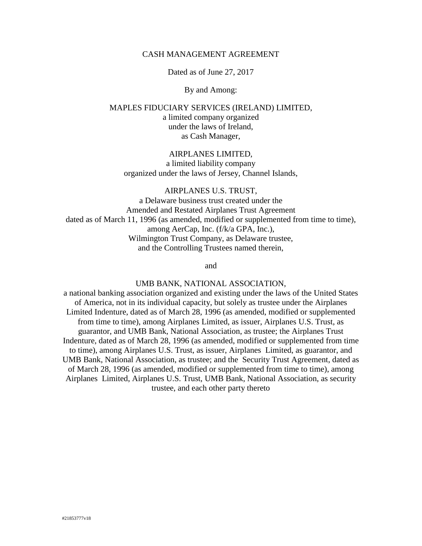### CASH MANAGEMENT AGREEMENT

Dated as of June 27, 2017

By and Among:

MAPLES FIDUCIARY SERVICES (IRELAND) LIMITED, a limited company organized under the laws of Ireland, as Cash Manager,

## AIRPLANES LIMITED, a limited liability company organized under the laws of Jersey, Channel Islands,

AIRPLANES U.S. TRUST,

a Delaware business trust created under the Amended and Restated Airplanes Trust Agreement dated as of March 11, 1996 (as amended, modified or supplemented from time to time), among AerCap, Inc. (f/k/a GPA, Inc.), Wilmington Trust Company, as Delaware trustee, and the Controlling Trustees named therein,

and

### UMB BANK, NATIONAL ASSOCIATION,

a national banking association organized and existing under the laws of the United States of America, not in its individual capacity, but solely as trustee under the Airplanes Limited Indenture, dated as of March 28, 1996 (as amended, modified or supplemented from time to time), among Airplanes Limited, as issuer, Airplanes U.S. Trust, as guarantor, and UMB Bank, National Association, as trustee; the Airplanes Trust Indenture, dated as of March 28, 1996 (as amended, modified or supplemented from time to time), among Airplanes U.S. Trust, as issuer, Airplanes Limited, as guarantor, and UMB Bank, National Association, as trustee; and the Security Trust Agreement, dated as of March 28, 1996 (as amended, modified or supplemented from time to time), among Airplanes Limited, Airplanes U.S. Trust, UMB Bank, National Association, as security trustee, and each other party thereto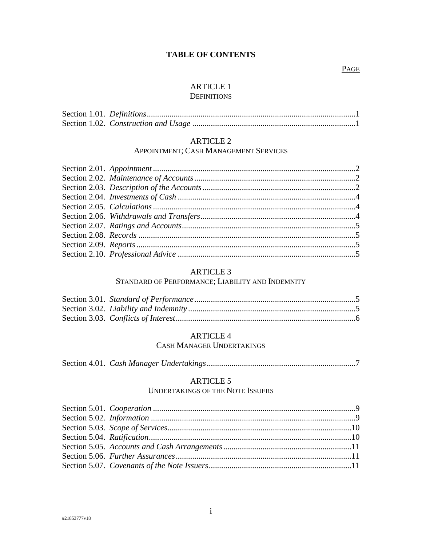# **TABLE OF CONTENTS**

### PAGE

# **ARTICLE 1**

# **DEFINITIONS**

# **ARTICLE 2**

### APPOINTMENT; CASH MANAGEMENT SERVICES

#### **ARTICLE 3**

### STANDARD OF PERFORMANCE; LIABILITY AND INDEMNITY

### **ARTICLE 4**

## CASH MANAGER UNDERTAKINGS

|--|--|--|--|

## **ARTICLE 5**

### **UNDERTAKINGS OF THE NOTE ISSUERS**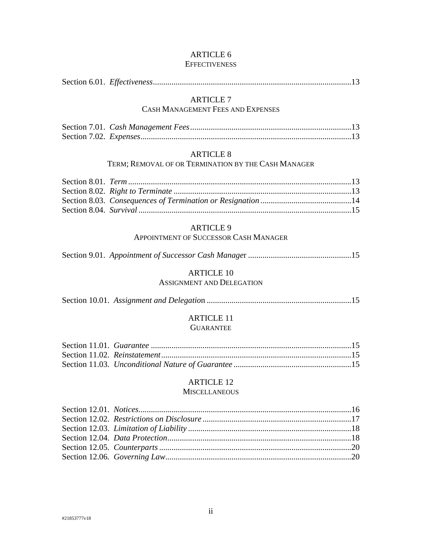### [ARTICLE 6](#page-16-0)  **[EFFECTIVENESS](#page-16-0)**

|--|--|--|--|

# [ARTICLE 7](#page-16-2)

# [CASH MANAGEMENT FEES AND EXPENSES](#page-16-2)

### [ARTICLE 8](#page-16-5)

# TERM; [REMOVAL OF OR TERMINATION BY THE CASH MANAGER](#page-16-5)

# [ARTICLE 9](#page-18-1)

## [APPOINTMENT OF SUCCESSOR CASH MANAGER](#page-18-1)

Section 9.01. *[Appointment of Successor Cash Manage](#page-18-2)*r ..................................................15

### [ARTICLE 10](#page-18-3)

# [ASSIGNMENT AND DELEGATION](#page-18-3)

### [ARTICLE 11](#page-18-5)  **[GUARANTEE](#page-18-5)**

### [ARTICLE 12](#page-19-0)

### **[MISCELLANEOUS](#page-19-0)**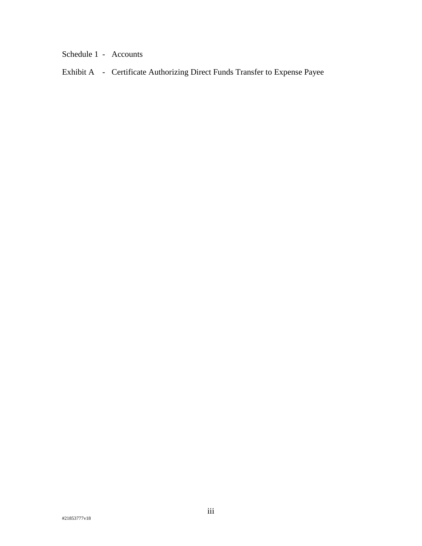Schedule 1 - Accounts

Exhibit A - Certificate Authorizing Direct Funds Transfer to Expense Payee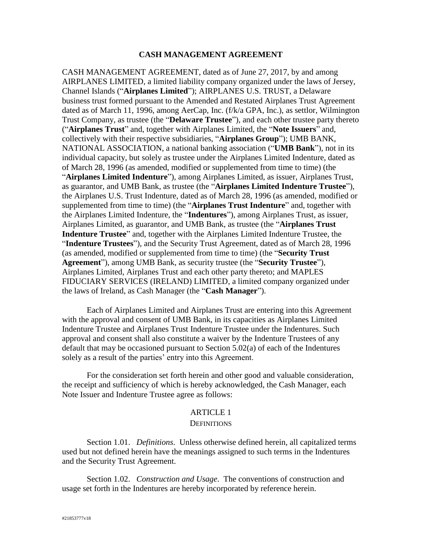### **CASH MANAGEMENT AGREEMENT**

CASH MANAGEMENT AGREEMENT, dated as of June 27, 2017, by and among AIRPLANES LIMITED, a limited liability company organized under the laws of Jersey, Channel Islands ("**Airplanes Limited**"); AIRPLANES U.S. TRUST, a Delaware business trust formed pursuant to the Amended and Restated Airplanes Trust Agreement dated as of March 11, 1996, among AerCap, Inc. (f/k/a GPA, Inc.), as settlor, Wilmington Trust Company, as trustee (the "**Delaware Trustee**"), and each other trustee party thereto ("**Airplanes Trust**" and, together with Airplanes Limited, the "**Note Issuers**" and, collectively with their respective subsidiaries, "**Airplanes Group**"); UMB BANK, NATIONAL ASSOCIATION, a national banking association ("**UMB Bank**"), not in its individual capacity, but solely as trustee under the Airplanes Limited Indenture, dated as of March 28, 1996 (as amended, modified or supplemented from time to time) (the "**Airplanes Limited Indenture**"), among Airplanes Limited, as issuer, Airplanes Trust, as guarantor, and UMB Bank, as trustee (the "**Airplanes Limited Indenture Trustee**"), the Airplanes U.S. Trust Indenture, dated as of March 28, 1996 (as amended, modified or supplemented from time to time) (the "**Airplanes Trust Indenture**" and, together with the Airplanes Limited Indenture, the "**Indentures**"), among Airplanes Trust, as issuer, Airplanes Limited, as guarantor, and UMB Bank, as trustee (the "**Airplanes Trust Indenture Trustee**" and, together with the Airplanes Limited Indenture Trustee, the "**Indenture Trustees**"), and the Security Trust Agreement, dated as of March 28, 1996 (as amended, modified or supplemented from time to time) (the "**Security Trust Agreement**"), among UMB Bank, as security trustee (the "**Security Trustee**"), Airplanes Limited, Airplanes Trust and each other party thereto; and MAPLES FIDUCIARY SERVICES (IRELAND) LIMITED, a limited company organized under the laws of Ireland, as Cash Manager (the "**Cash Manager**").

Each of Airplanes Limited and Airplanes Trust are entering into this Agreement with the approval and consent of UMB Bank, in its capacities as Airplanes Limited Indenture Trustee and Airplanes Trust Indenture Trustee under the Indentures. Such approval and consent shall also constitute a waiver by the Indenture Trustees of any default that may be occasioned pursuant to Section 5.02(a) of each of the Indentures solely as a result of the parties' entry into this Agreement.

For the consideration set forth herein and other good and valuable consideration, the receipt and sufficiency of which is hereby acknowledged, the Cash Manager, each Note Issuer and Indenture Trustee agree as follows:

#### ARTICLE 1

#### **DEFINITIONS**

<span id="page-4-1"></span><span id="page-4-0"></span>Section 1.01. *Definitions*. Unless otherwise defined herein, all capitalized terms used but not defined herein have the meanings assigned to such terms in the Indentures and the Security Trust Agreement.

<span id="page-4-2"></span>Section 1.02. *Construction and Usage*. The conventions of construction and usage set forth in the Indentures are hereby incorporated by reference herein.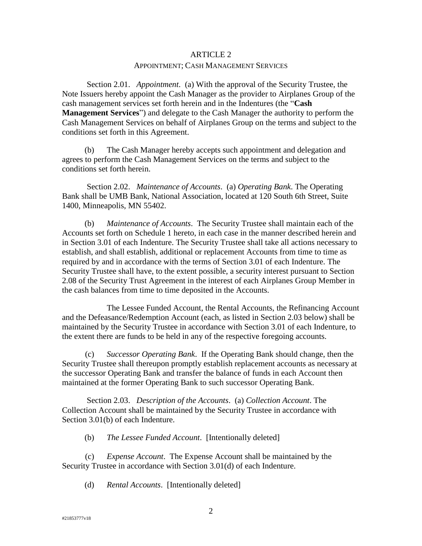# ARTICLE 2 APPOINTMENT; CASH MANAGEMENT SERVICES

<span id="page-5-1"></span><span id="page-5-0"></span>Section 2.01. *Appointment*. (a) With the approval of the Security Trustee, the Note Issuers hereby appoint the Cash Manager as the provider to Airplanes Group of the cash management services set forth herein and in the Indentures (the "**Cash Management Services**") and delegate to the Cash Manager the authority to perform the Cash Management Services on behalf of Airplanes Group on the terms and subject to the conditions set forth in this Agreement.

(b) The Cash Manager hereby accepts such appointment and delegation and agrees to perform the Cash Management Services on the terms and subject to the conditions set forth herein.

<span id="page-5-2"></span>Section 2.02. *Maintenance of Accounts*. (a) *Operating Bank*. The Operating Bank shall be UMB Bank, National Association, located at 120 South 6th Street, Suite 1400, Minneapolis, MN 55402.

(b) *Maintenance of Accounts*. The Security Trustee shall maintain each of the Accounts set forth on Schedule 1 hereto, in each case in the manner described herein and in Section 3.01 of each Indenture. The Security Trustee shall take all actions necessary to establish, and shall establish, additional or replacement Accounts from time to time as required by and in accordance with the terms of Section 3.01 of each Indenture. The Security Trustee shall have, to the extent possible, a security interest pursuant to Section 2.08 of the Security Trust Agreement in the interest of each Airplanes Group Member in the cash balances from time to time deposited in the Accounts.

The Lessee Funded Account, the Rental Accounts, the Refinancing Account and the Defeasance/Redemption Account (each, as listed in [Section 2.03](#page-5-3) below) shall be maintained by the Security Trustee in accordance with Section 3.01 of each Indenture, to the extent there are funds to be held in any of the respective foregoing accounts.

(c) *Successor Operating Bank*. If the Operating Bank should change, then the Security Trustee shall thereupon promptly establish replacement accounts as necessary at the successor Operating Bank and transfer the balance of funds in each Account then maintained at the former Operating Bank to such successor Operating Bank.

<span id="page-5-3"></span>Section 2.03. *Description of the Accounts*. (a) *Collection Account*. The Collection Account shall be maintained by the Security Trustee in accordance with Section 3.01(b) of each Indenture.

(b) *The Lessee Funded Account*. [Intentionally deleted]

(c) *Expense Account*. The Expense Account shall be maintained by the Security Trustee in accordance with Section 3.01(d) of each Indenture.

(d) *Rental Accounts*. [Intentionally deleted]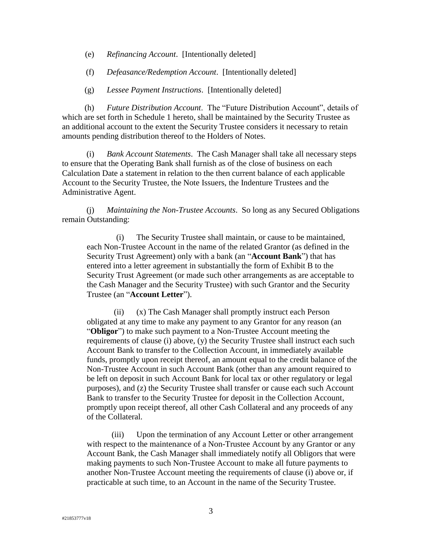- (e) *Refinancing Account*. [Intentionally deleted]
- (f) *Defeasance/Redemption Account*. [Intentionally deleted]
- (g) *Lessee Payment Instructions*. [Intentionally deleted]

(h) *Future Distribution Account*. The "Future Distribution Account", details of which are set forth in Schedule 1 hereto, shall be maintained by the Security Trustee as an additional account to the extent the Security Trustee considers it necessary to retain amounts pending distribution thereof to the Holders of Notes.

(i) *Bank Account Statements*. The Cash Manager shall take all necessary steps to ensure that the Operating Bank shall furnish as of the close of business on each Calculation Date a statement in relation to the then current balance of each applicable Account to the Security Trustee, the Note Issuers, the Indenture Trustees and the Administrative Agent.

(j) *Maintaining the Non-Trustee Accounts*. So long as any Secured Obligations remain Outstanding:

<span id="page-6-0"></span>(i) The Security Trustee shall maintain, or cause to be maintained, each Non-Trustee Account in the name of the related Grantor (as defined in the Security Trust Agreement) only with a bank (an "**Account Bank**") that has entered into a letter agreement in substantially the form of Exhibit B to the Security Trust Agreement (or made such other arrangements as are acceptable to the Cash Manager and the Security Trustee) with such Grantor and the Security Trustee (an "**Account Letter**").

(ii) (x) The Cash Manager shall promptly instruct each Person obligated at any time to make any payment to any Grantor for any reason (an "**Obligor**") to make such payment to a Non-Trustee Account meeting the requirements of clause [\(i\)](#page-6-0) above, (y) the Security Trustee shall instruct each such Account Bank to transfer to the Collection Account, in immediately available funds, promptly upon receipt thereof, an amount equal to the credit balance of the Non-Trustee Account in such Account Bank (other than any amount required to be left on deposit in such Account Bank for local tax or other regulatory or legal purposes), and (z) the Security Trustee shall transfer or cause each such Account Bank to transfer to the Security Trustee for deposit in the Collection Account, promptly upon receipt thereof, all other Cash Collateral and any proceeds of any of the Collateral.

(iii) Upon the termination of any Account Letter or other arrangement with respect to the maintenance of a Non-Trustee Account by any Grantor or any Account Bank, the Cash Manager shall immediately notify all Obligors that were making payments to such Non-Trustee Account to make all future payments to another Non-Trustee Account meeting the requirements of clause [\(i\)](#page-6-0) above or, if practicable at such time, to an Account in the name of the Security Trustee.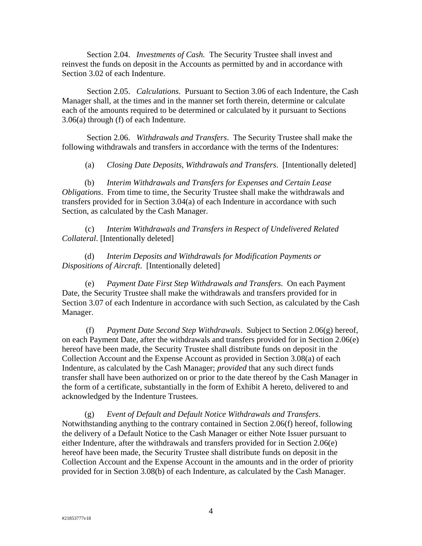<span id="page-7-0"></span>Section 2.04. *Investments of Cash.* The Security Trustee shall invest and reinvest the funds on deposit in the Accounts as permitted by and in accordance with Section 3.02 of each Indenture.

<span id="page-7-1"></span>Section 2.05. *Calculations*. Pursuant to Section 3.06 of each Indenture, the Cash Manager shall, at the times and in the manner set forth therein, determine or calculate each of the amounts required to be determined or calculated by it pursuant to Sections 3.06(a) through (f) of each Indenture.

<span id="page-7-2"></span>Section 2.06. *Withdrawals and Transfers*. The Security Trustee shall make the following withdrawals and transfers in accordance with the terms of the Indentures:

(a) *Closing Date Deposits, Withdrawals and Transfers*. [Intentionally deleted]

(b) *Interim Withdrawals and Transfers for Expenses and Certain Lease Obligations*. From time to time, the Security Trustee shall make the withdrawals and transfers provided for in Section 3.04(a) of each Indenture in accordance with such Section, as calculated by the Cash Manager.

(c) *Interim Withdrawals and Transfers in Respect of Undelivered Related Collateral*. [Intentionally deleted]

(d) *Interim Deposits and Withdrawals for Modification Payments or Dispositions of Aircraft*. [Intentionally deleted]

<span id="page-7-4"></span>(e) *Payment Date First Step Withdrawals and Transfers*. On each Payment Date, the Security Trustee shall make the withdrawals and transfers provided for in Section 3.07 of each Indenture in accordance with such Section, as calculated by the Cash Manager.

<span id="page-7-5"></span>(f) *Payment Date Second Step Withdrawals*. Subject to [Section 2.06\(g\)](#page-7-3) hereof, on each Payment Date, after the withdrawals and transfers provided for in [Section 2.06\(e\)](#page-7-4)  hereof have been made, the Security Trustee shall distribute funds on deposit in the Collection Account and the Expense Account as provided in Section 3.08(a) of each Indenture, as calculated by the Cash Manager; *provided* that any such direct funds transfer shall have been authorized on or prior to the date thereof by the Cash Manager in the form of a certificate, substantially in the form of Exhibit A hereto, delivered to and acknowledged by the Indenture Trustees.

<span id="page-7-3"></span>(g) *Event of Default and Default Notice Withdrawals and Transfers*. Notwithstanding anything to the contrary contained in [Section 2.06\(f\) her](#page-7-4)eof, following the delivery of a Default Notice to the Cash Manager or either Note Issuer pursuant to either Indenture, after the withdrawals and transfers provided for in Section 2.0[6\(e\)](#page-7-4)  [hereof h](#page-7-4)ave been made, the Security Trustee shall distribute funds on deposit in the Collection Account and the Expense Account in the amounts and in the order of priority provided for in Section 3.08(b) of each Indenture, as calculated by the Cash Manager.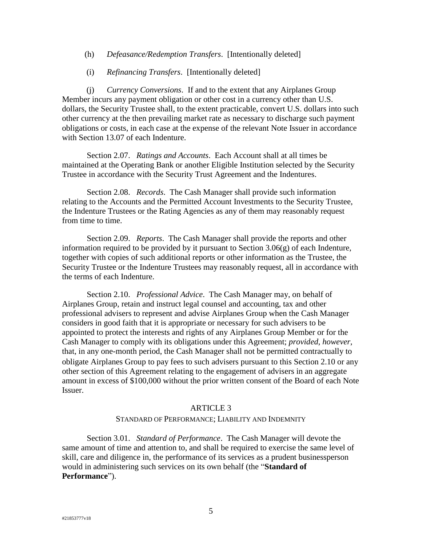- (h) *Defeasance/Redemption Transfers*. [Intentionally deleted]
- (i) *Refinancing Transfers*. [Intentionally deleted]

(j) *Currency Conversions*. If and to the extent that any Airplanes Group Member incurs any payment obligation or other cost in a currency other than U.S. dollars, the Security Trustee shall, to the extent practicable, convert U.S. dollars into such other currency at the then prevailing market rate as necessary to discharge such payment obligations or costs, in each case at the expense of the relevant Note Issuer in accordance with Section 13.07 of each Indenture.

<span id="page-8-0"></span>Section 2.07. *Ratings and Accounts*. Each Account shall at all times be maintained at the Operating Bank or another Eligible Institution selected by the Security Trustee in accordance with the Security Trust Agreement and the Indentures.

<span id="page-8-1"></span>Section 2.08. *Records*. The Cash Manager shall provide such information relating to the Accounts and the Permitted Account Investments to the Security Trustee, the Indenture Trustees or the Rating Agencies as any of them may reasonably request from time to time.

<span id="page-8-2"></span>Section 2.09. *Reports*. The Cash Manager shall provide the reports and other information required to be provided by it pursuant to Section  $3.06(g)$  of each Indenture, together with copies of such additional reports or other information as the Trustee, the Security Trustee or the Indenture Trustees may reasonably request, all in accordance with the terms of each Indenture.

<span id="page-8-3"></span>Section 2.10. *Professional Advice*. The Cash Manager may, on behalf of Airplanes Group, retain and instruct legal counsel and accounting, tax and other professional advisers to represent and advise Airplanes Group when the Cash Manager considers in good faith that it is appropriate or necessary for such advisers to be appointed to protect the interests and rights of any Airplanes Group Member or for the Cash Manager to comply with its obligations under this Agreement; *provided*, *however*, that, in any one-month period, the Cash Manager shall not be permitted contractually to obligate Airplanes Group to pay fees to such advisers pursuant to this [Section 2.10](#page-8-3) or any other section of this Agreement relating to the engagement of advisers in an aggregate amount in excess of \$100,000 without the prior written consent of the Board of each Note Issuer.

#### ARTICLE 3

#### STANDARD OF PERFORMANCE; LIABILITY AND INDEMNITY

<span id="page-8-5"></span><span id="page-8-4"></span>Section 3.01. *Standard of Performance*. The Cash Manager will devote the same amount of time and attention to, and shall be required to exercise the same level of skill, care and diligence in, the performance of its services as a prudent businessperson would in administering such services on its own behalf (the "**Standard of Performance**").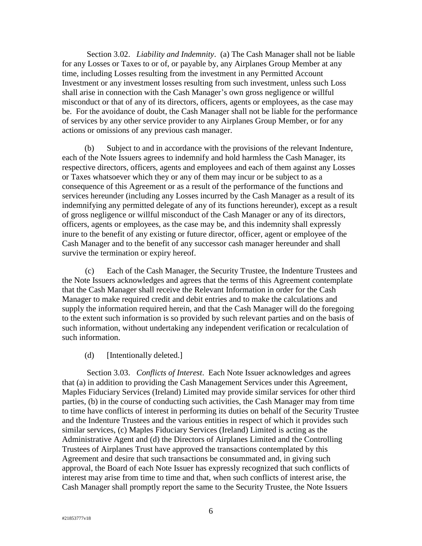<span id="page-9-0"></span>Section 3.02. *Liability and Indemnity*. (a) The Cash Manager shall not be liable for any Losses or Taxes to or of, or payable by, any Airplanes Group Member at any time, including Losses resulting from the investment in any Permitted Account Investment or any investment losses resulting from such investment, unless such Loss shall arise in connection with the Cash Manager's own gross negligence or willful misconduct or that of any of its directors, officers, agents or employees, as the case may be. For the avoidance of doubt, the Cash Manager shall not be liable for the performance of services by any other service provider to any Airplanes Group Member, or for any actions or omissions of any previous cash manager.

(b) Subject to and in accordance with the provisions of the relevant Indenture, each of the Note Issuers agrees to indemnify and hold harmless the Cash Manager, its respective directors, officers, agents and employees and each of them against any Losses or Taxes whatsoever which they or any of them may incur or be subject to as a consequence of this Agreement or as a result of the performance of the functions and services hereunder (including any Losses incurred by the Cash Manager as a result of its indemnifying any permitted delegate of any of its functions hereunder), except as a result of gross negligence or willful misconduct of the Cash Manager or any of its directors, officers, agents or employees, as the case may be, and this indemnity shall expressly inure to the benefit of any existing or future director, officer, agent or employee of the Cash Manager and to the benefit of any successor cash manager hereunder and shall survive the termination or expiry hereof.

(c) Each of the Cash Manager, the Security Trustee, the Indenture Trustees and the Note Issuers acknowledges and agrees that the terms of this Agreement contemplate that the Cash Manager shall receive the Relevant Information in order for the Cash Manager to make required credit and debit entries and to make the calculations and supply the information required herein, and that the Cash Manager will do the foregoing to the extent such information is so provided by such relevant parties and on the basis of such information, without undertaking any independent verification or recalculation of such information.

## (d) [Intentionally deleted.]

<span id="page-9-1"></span>Section 3.03. *Conflicts of Interest*. Each Note Issuer acknowledges and agrees that (a) in addition to providing the Cash Management Services under this Agreement, Maples Fiduciary Services (Ireland) Limited may provide similar services for other third parties, (b) in the course of conducting such activities, the Cash Manager may from time to time have conflicts of interest in performing its duties on behalf of the Security Trustee and the Indenture Trustees and the various entities in respect of which it provides such similar services, (c) Maples Fiduciary Services (Ireland) Limited is acting as the Administrative Agent and (d) the Directors of Airplanes Limited and the Controlling Trustees of Airplanes Trust have approved the transactions contemplated by this Agreement and desire that such transactions be consummated and, in giving such approval, the Board of each Note Issuer has expressly recognized that such conflicts of interest may arise from time to time and that, when such conflicts of interest arise, the Cash Manager shall promptly report the same to the Security Trustee, the Note Issuers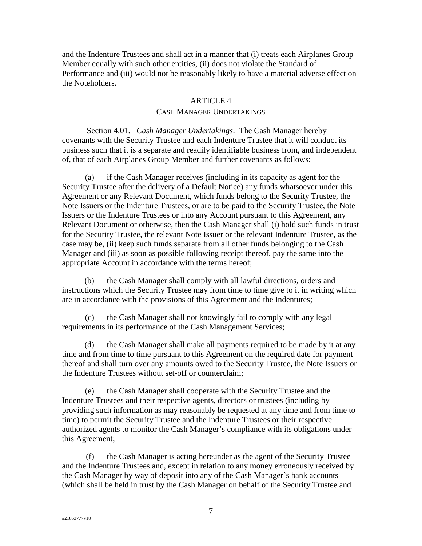and the Indenture Trustees and shall act in a manner that (i) treats each Airplanes Group Member equally with such other entities, (ii) does not violate the Standard of Performance and (iii) would not be reasonably likely to have a material adverse effect on the Noteholders.

### ARTICLE 4

### CASH MANAGER UNDERTAKINGS

<span id="page-10-1"></span><span id="page-10-0"></span>Section 4.01. *Cash Manager Undertakings*. The Cash Manager hereby covenants with the Security Trustee and each Indenture Trustee that it will conduct its business such that it is a separate and readily identifiable business from, and independent of, that of each Airplanes Group Member and further covenants as follows:

(a) if the Cash Manager receives (including in its capacity as agent for the Security Trustee after the delivery of a Default Notice) any funds whatsoever under this Agreement or any Relevant Document, which funds belong to the Security Trustee, the Note Issuers or the Indenture Trustees, or are to be paid to the Security Trustee, the Note Issuers or the Indenture Trustees or into any Account pursuant to this Agreement, any Relevant Document or otherwise, then the Cash Manager shall (i) hold such funds in trust for the Security Trustee, the relevant Note Issuer or the relevant Indenture Trustee, as the case may be, (ii) keep such funds separate from all other funds belonging to the Cash Manager and (iii) as soon as possible following receipt thereof, pay the same into the appropriate Account in accordance with the terms hereof;

(b) the Cash Manager shall comply with all lawful directions, orders and instructions which the Security Trustee may from time to time give to it in writing which are in accordance with the provisions of this Agreement and the Indentures;

(c) the Cash Manager shall not knowingly fail to comply with any legal requirements in its performance of the Cash Management Services;

(d) the Cash Manager shall make all payments required to be made by it at any time and from time to time pursuant to this Agreement on the required date for payment thereof and shall turn over any amounts owed to the Security Trustee, the Note Issuers or the Indenture Trustees without set-off or counterclaim;

(e) the Cash Manager shall cooperate with the Security Trustee and the Indenture Trustees and their respective agents, directors or trustees (including by providing such information as may reasonably be requested at any time and from time to time) to permit the Security Trustee and the Indenture Trustees or their respective authorized agents to monitor the Cash Manager's compliance with its obligations under this Agreement;

(f) the Cash Manager is acting hereunder as the agent of the Security Trustee and the Indenture Trustees and, except in relation to any money erroneously received by the Cash Manager by way of deposit into any of the Cash Manager's bank accounts (which shall be held in trust by the Cash Manager on behalf of the Security Trustee and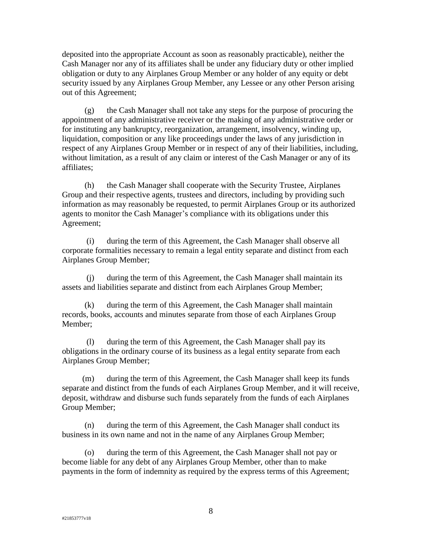deposited into the appropriate Account as soon as reasonably practicable), neither the Cash Manager nor any of its affiliates shall be under any fiduciary duty or other implied obligation or duty to any Airplanes Group Member or any holder of any equity or debt security issued by any Airplanes Group Member, any Lessee or any other Person arising out of this Agreement;

(g) the Cash Manager shall not take any steps for the purpose of procuring the appointment of any administrative receiver or the making of any administrative order or for instituting any bankruptcy, reorganization, arrangement, insolvency, winding up, liquidation, composition or any like proceedings under the laws of any jurisdiction in respect of any Airplanes Group Member or in respect of any of their liabilities, including, without limitation, as a result of any claim or interest of the Cash Manager or any of its affiliates;

(h) the Cash Manager shall cooperate with the Security Trustee, Airplanes Group and their respective agents, trustees and directors, including by providing such information as may reasonably be requested, to permit Airplanes Group or its authorized agents to monitor the Cash Manager's compliance with its obligations under this Agreement;

(i) during the term of this Agreement, the Cash Manager shall observe all corporate formalities necessary to remain a legal entity separate and distinct from each Airplanes Group Member;

(j) during the term of this Agreement, the Cash Manager shall maintain its assets and liabilities separate and distinct from each Airplanes Group Member;

(k) during the term of this Agreement, the Cash Manager shall maintain records, books, accounts and minutes separate from those of each Airplanes Group Member;

(l) during the term of this Agreement, the Cash Manager shall pay its obligations in the ordinary course of its business as a legal entity separate from each Airplanes Group Member;

(m) during the term of this Agreement, the Cash Manager shall keep its funds separate and distinct from the funds of each Airplanes Group Member, and it will receive, deposit, withdraw and disburse such funds separately from the funds of each Airplanes Group Member;

(n) during the term of this Agreement, the Cash Manager shall conduct its business in its own name and not in the name of any Airplanes Group Member;

(o) during the term of this Agreement, the Cash Manager shall not pay or become liable for any debt of any Airplanes Group Member, other than to make payments in the form of indemnity as required by the express terms of this Agreement;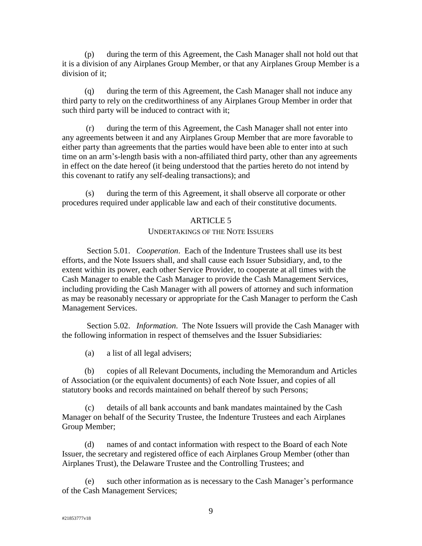(p) during the term of this Agreement, the Cash Manager shall not hold out that it is a division of any Airplanes Group Member, or that any Airplanes Group Member is a division of it;

(q) during the term of this Agreement, the Cash Manager shall not induce any third party to rely on the creditworthiness of any Airplanes Group Member in order that such third party will be induced to contract with it;

(r) during the term of this Agreement, the Cash Manager shall not enter into any agreements between it and any Airplanes Group Member that are more favorable to either party than agreements that the parties would have been able to enter into at such time on an arm's-length basis with a non-affiliated third party, other than any agreements in effect on the date hereof (it being understood that the parties hereto do not intend by this covenant to ratify any self-dealing transactions); and

<span id="page-12-0"></span>(s) during the term of this Agreement, it shall observe all corporate or other procedures required under applicable law and each of their constitutive documents.

### ARTICLE 5

### UNDERTAKINGS OF THE NOTE ISSUERS

<span id="page-12-1"></span>Section 5.01. *Cooperation*. Each of the Indenture Trustees shall use its best efforts, and the Note Issuers shall, and shall cause each Issuer Subsidiary, and, to the extent within its power, each other Service Provider, to cooperate at all times with the Cash Manager to enable the Cash Manager to provide the Cash Management Services, including providing the Cash Manager with all powers of attorney and such information as may be reasonably necessary or appropriate for the Cash Manager to perform the Cash Management Services.

<span id="page-12-2"></span>Section 5.02. *Information*. The Note Issuers will provide the Cash Manager with the following information in respect of themselves and the Issuer Subsidiaries:

(a) a list of all legal advisers;

(b) copies of all Relevant Documents, including the Memorandum and Articles of Association (or the equivalent documents) of each Note Issuer, and copies of all statutory books and records maintained on behalf thereof by such Persons;

(c) details of all bank accounts and bank mandates maintained by the Cash Manager on behalf of the Security Trustee, the Indenture Trustees and each Airplanes Group Member;

(d) names of and contact information with respect to the Board of each Note Issuer, the secretary and registered office of each Airplanes Group Member (other than Airplanes Trust), the Delaware Trustee and the Controlling Trustees; and

<span id="page-12-3"></span>(e) such other information as is necessary to the Cash Manager's performance of the Cash Management Services;

9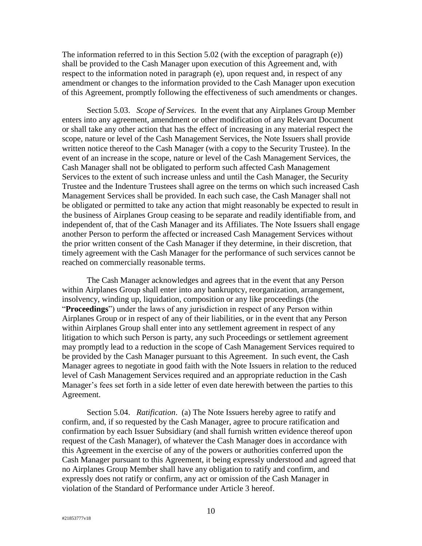The information referred to in this [Section 5.02](#page-12-2) (with the exception of paragraph [\(e\)\)](#page-12-3) shall be provided to the Cash Manager upon execution of this Agreement and, with respect to the information noted in paragraph [\(e\),](#page-12-3) upon request and, in respect of any amendment or changes to the information provided to the Cash Manager upon execution of this Agreement, promptly following the effectiveness of such amendments or changes.

<span id="page-13-0"></span>Section 5.03. *Scope of Services*. In the event that any Airplanes Group Member enters into any agreement, amendment or other modification of any Relevant Document or shall take any other action that has the effect of increasing in any material respect the scope, nature or level of the Cash Management Services, the Note Issuers shall provide written notice thereof to the Cash Manager (with a copy to the Security Trustee). In the event of an increase in the scope, nature or level of the Cash Management Services, the Cash Manager shall not be obligated to perform such affected Cash Management Services to the extent of such increase unless and until the Cash Manager, the Security Trustee and the Indenture Trustees shall agree on the terms on which such increased Cash Management Services shall be provided. In each such case, the Cash Manager shall not be obligated or permitted to take any action that might reasonably be expected to result in the business of Airplanes Group ceasing to be separate and readily identifiable from, and independent of, that of the Cash Manager and its Affiliates. The Note Issuers shall engage another Person to perform the affected or increased Cash Management Services without the prior written consent of the Cash Manager if they determine, in their discretion, that timely agreement with the Cash Manager for the performance of such services cannot be reached on commercially reasonable terms.

The Cash Manager acknowledges and agrees that in the event that any Person within Airplanes Group shall enter into any bankruptcy, reorganization, arrangement, insolvency, winding up, liquidation, composition or any like proceedings (the "**Proceedings**") under the laws of any jurisdiction in respect of any Person within Airplanes Group or in respect of any of their liabilities, or in the event that any Person within Airplanes Group shall enter into any settlement agreement in respect of any litigation to which such Person is party, any such Proceedings or settlement agreement may promptly lead to a reduction in the scope of Cash Management Services required to be provided by the Cash Manager pursuant to this Agreement. In such event, the Cash Manager agrees to negotiate in good faith with the Note Issuers in relation to the reduced level of Cash Management Services required and an appropriate reduction in the Cash Manager's fees set forth in a side letter of even date herewith between the parties to this Agreement.

<span id="page-13-1"></span>Section 5.04. *Ratification*. (a) The Note Issuers hereby agree to ratify and confirm, and, if so requested by the Cash Manager, agree to procure ratification and confirmation by each Issuer Subsidiary (and shall furnish written evidence thereof upon request of the Cash Manager), of whatever the Cash Manager does in accordance with this Agreement in the exercise of any of the powers or authorities conferred upon the Cash Manager pursuant to this Agreement, it being expressly understood and agreed that no Airplanes Group Member shall have any obligation to ratify and confirm, and expressly does not ratify or confirm, any act or omission of the Cash Manager in violation of the Standard of Performance under Article 3 hereof.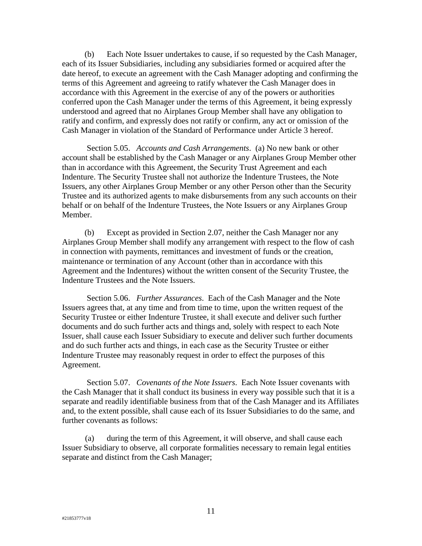(b) Each Note Issuer undertakes to cause, if so requested by the Cash Manager, each of its Issuer Subsidiaries, including any subsidiaries formed or acquired after the date hereof, to execute an agreement with the Cash Manager adopting and confirming the terms of this Agreement and agreeing to ratify whatever the Cash Manager does in accordance with this Agreement in the exercise of any of the powers or authorities conferred upon the Cash Manager under the terms of this Agreement, it being expressly understood and agreed that no Airplanes Group Member shall have any obligation to ratify and confirm, and expressly does not ratify or confirm, any act or omission of the Cash Manager in violation of the Standard of Performance under Article 3 hereof.

<span id="page-14-0"></span>Section 5.05. *Accounts and Cash Arrangements*. (a) No new bank or other account shall be established by the Cash Manager or any Airplanes Group Member other than in accordance with this Agreement, the Security Trust Agreement and each Indenture. The Security Trustee shall not authorize the Indenture Trustees, the Note Issuers, any other Airplanes Group Member or any other Person other than the Security Trustee and its authorized agents to make disbursements from any such accounts on their behalf or on behalf of the Indenture Trustees, the Note Issuers or any Airplanes Group Member.

(b) Except as provided in [Section 2.07,](#page-8-0) neither the Cash Manager nor any Airplanes Group Member shall modify any arrangement with respect to the flow of cash in connection with payments, remittances and investment of funds or the creation, maintenance or termination of any Account (other than in accordance with this Agreement and the Indentures) without the written consent of the Security Trustee, the Indenture Trustees and the Note Issuers.

<span id="page-14-1"></span>Section 5.06. *Further Assurances*. Each of the Cash Manager and the Note Issuers agrees that, at any time and from time to time, upon the written request of the Security Trustee or either Indenture Trustee, it shall execute and deliver such further documents and do such further acts and things and, solely with respect to each Note Issuer, shall cause each Issuer Subsidiary to execute and deliver such further documents and do such further acts and things, in each case as the Security Trustee or either Indenture Trustee may reasonably request in order to effect the purposes of this Agreement.

<span id="page-14-2"></span>Section 5.07. *Covenants of the Note Issuers*. Each Note Issuer covenants with the Cash Manager that it shall conduct its business in every way possible such that it is a separate and readily identifiable business from that of the Cash Manager and its Affiliates and, to the extent possible, shall cause each of its Issuer Subsidiaries to do the same, and further covenants as follows:

(a) during the term of this Agreement, it will observe, and shall cause each Issuer Subsidiary to observe, all corporate formalities necessary to remain legal entities separate and distinct from the Cash Manager;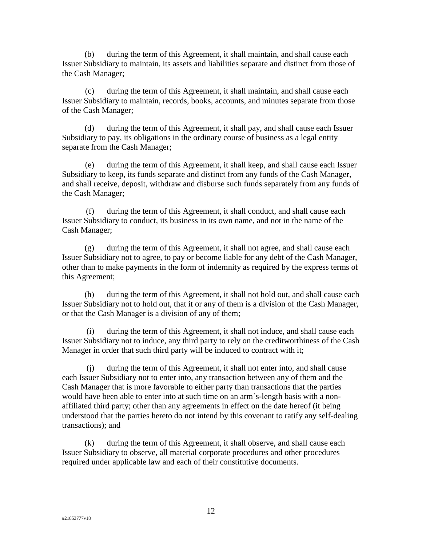(b) during the term of this Agreement, it shall maintain, and shall cause each Issuer Subsidiary to maintain, its assets and liabilities separate and distinct from those of the Cash Manager;

(c) during the term of this Agreement, it shall maintain, and shall cause each Issuer Subsidiary to maintain, records, books, accounts, and minutes separate from those of the Cash Manager;

(d) during the term of this Agreement, it shall pay, and shall cause each Issuer Subsidiary to pay, its obligations in the ordinary course of business as a legal entity separate from the Cash Manager;

(e) during the term of this Agreement, it shall keep, and shall cause each Issuer Subsidiary to keep, its funds separate and distinct from any funds of the Cash Manager, and shall receive, deposit, withdraw and disburse such funds separately from any funds of the Cash Manager;

(f) during the term of this Agreement, it shall conduct, and shall cause each Issuer Subsidiary to conduct, its business in its own name, and not in the name of the Cash Manager;

(g) during the term of this Agreement, it shall not agree, and shall cause each Issuer Subsidiary not to agree, to pay or become liable for any debt of the Cash Manager, other than to make payments in the form of indemnity as required by the express terms of this Agreement;

(h) during the term of this Agreement, it shall not hold out, and shall cause each Issuer Subsidiary not to hold out, that it or any of them is a division of the Cash Manager, or that the Cash Manager is a division of any of them;

(i) during the term of this Agreement, it shall not induce, and shall cause each Issuer Subsidiary not to induce, any third party to rely on the creditworthiness of the Cash Manager in order that such third party will be induced to contract with it;

(j) during the term of this Agreement, it shall not enter into, and shall cause each Issuer Subsidiary not to enter into, any transaction between any of them and the Cash Manager that is more favorable to either party than transactions that the parties would have been able to enter into at such time on an arm's-length basis with a nonaffiliated third party; other than any agreements in effect on the date hereof (it being understood that the parties hereto do not intend by this covenant to ratify any self-dealing transactions); and

(k) during the term of this Agreement, it shall observe, and shall cause each Issuer Subsidiary to observe, all material corporate procedures and other procedures required under applicable law and each of their constitutive documents.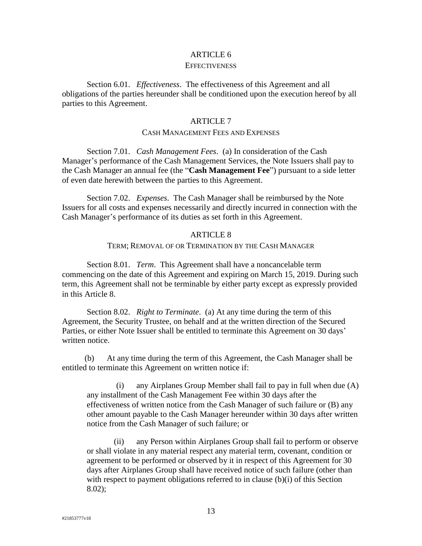### ARTICLE 6

#### **EFFECTIVENESS**

<span id="page-16-1"></span><span id="page-16-0"></span>Section 6.01. *Effectiveness*. The effectiveness of this Agreement and all obligations of the parties hereunder shall be conditioned upon the execution hereof by all parties to this Agreement.

### ARTICLE 7

#### CASH MANAGEMENT FEES AND EXPENSES

<span id="page-16-10"></span><span id="page-16-3"></span><span id="page-16-2"></span>Section 7.01. *Cash Management Fees*. (a) In consideration of the Cash Manager's performance of the Cash Management Services, the Note Issuers shall pay to the Cash Manager an annual fee (the "**Cash Management Fee**") pursuant to a side letter of even date herewith between the parties to this Agreement.

<span id="page-16-4"></span>Section 7.02. *Expenses*. The Cash Manager shall be reimbursed by the Note Issuers for all costs and expenses necessarily and directly incurred in connection with the Cash Manager's performance of its duties as set forth in this Agreement.

### ARTICLE 8

#### TERM; REMOVAL OF OR TERMINATION BY THE CASH MANAGER

<span id="page-16-8"></span><span id="page-16-6"></span><span id="page-16-5"></span>Section 8.01. *Term*. This Agreement shall have a noncancelable term commencing on the date of this Agreement and expiring on March 15, 2019. During such term, this Agreement shall not be terminable by either party except as expressly provided in this [Article 8.](#page-16-8)

<span id="page-16-7"></span>Section 8.02. *Right to Terminate*. (a) At any time during the term of this Agreement, the Security Trustee, on behalf and at the written direction of the Secured Parties, or either Note Issuer shall be entitled to terminate this Agreement on 30 days' written notice.

<span id="page-16-9"></span>(b) At any time during the term of this Agreement, the Cash Manager shall be entitled to terminate this Agreement on written notice if:

(i) any Airplanes Group Member shall fail to pay in full when due (A) any installment of the Cash Management Fee within 30 days after the effectiveness of written notice from the Cash Manager of such failure or (B) any other amount payable to the Cash Manager hereunder within 30 days after written notice from the Cash Manager of such failure; or

(ii) any Person within Airplanes Group shall fail to perform or observe or shall violate in any material respect any material term, covenant, condition or agreement to be performed or observed by it in respect of this Agreement for 30 days after Airplanes Group shall have received notice of such failure (other than with respect to payment obligations referred to in clause [\(b\)\(i\)](#page-16-9) of this Section [8.02\)](#page-16-7);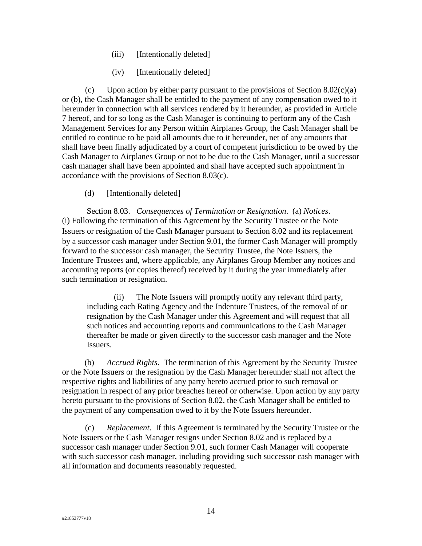- (iii) [Intentionally deleted]
- (iv) [Intentionally deleted]

<span id="page-17-1"></span>(c) Upon action by either party pursuant to the provisions of Section  $8.02(c)(a)$ or [\(b\),](#page-16-9) the Cash Manager shall be entitled to the payment of any compensation owed to it hereunder in connection with all services rendered by it hereunder, as provided in [Article](#page-16-10)  [7](#page-16-10) hereof, and for so long as the Cash Manager is continuing to perform any of the Cash Management Services for any Person within Airplanes Group, the Cash Manager shall be entitled to continue to be paid all amounts due to it hereunder, net of any amounts that shall have been finally adjudicated by a court of competent jurisdiction to be owed by the Cash Manager to Airplanes Group or not to be due to the Cash Manager, until a successor cash manager shall have been appointed and shall have accepted such appointment in accordance with the provisions of [Section 8.03\(c\).](#page-17-2)

(d) [Intentionally deleted]

<span id="page-17-0"></span>Section 8.03. *Consequences of Termination or Resignation*. (a) *Notices*. (i) Following the termination of this Agreement by the Security Trustee or the Note Issuers or resignation of the Cash Manager pursuant to [Section 8.02](#page-16-7) and its replacement by a successor cash manager under Section [9.01,](#page-18-2) the former Cash Manager will promptly forward to the successor cash manager, the Security Trustee, the Note Issuers, the Indenture Trustees and, where applicable, any Airplanes Group Member any notices and accounting reports (or copies thereof) received by it during the year immediately after such termination or resignation.

(ii) The Note Issuers will promptly notify any relevant third party, including each Rating Agency and the Indenture Trustees, of the removal of or resignation by the Cash Manager under this Agreement and will request that all such notices and accounting reports and communications to the Cash Manager thereafter be made or given directly to the successor cash manager and the Note Issuers.

(b) *Accrued Rights*. The termination of this Agreement by the Security Trustee or the Note Issuers or the resignation by the Cash Manager hereunder shall not affect the respective rights and liabilities of any party hereto accrued prior to such removal or resignation in respect of any prior breaches hereof or otherwise. Upon action by any party hereto pursuant to the provisions of [Section 8.02,](#page-16-7) the Cash Manager shall be entitled to the payment of any compensation owed to it by the Note Issuers hereunder.

<span id="page-17-2"></span>(c) *Replacement*. If this Agreement is terminated by the Security Trustee or the Note Issuers or the Cash Manager resigns under [Section 8.02](#page-16-7) and is replaced by a successor cash manager under [Section 9.01,](#page-18-2) such former Cash Manager will cooperate with such successor cash manager, including providing such successor cash manager with all information and documents reasonably requested.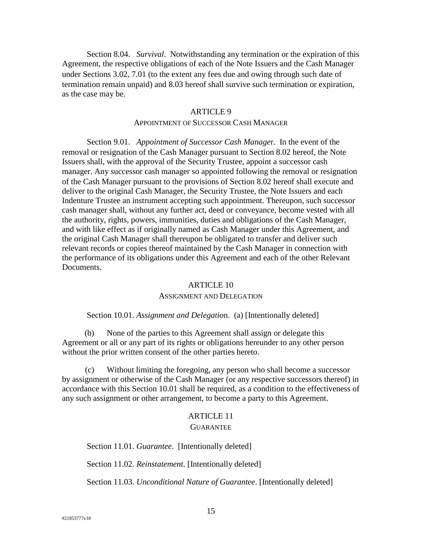<span id="page-18-0"></span>Section 8.04. *Survival*. Notwithstanding any termination or the expiration of this Agreement, the respective obligations of each of the Note Issuers and the Cash Manager under Sections [3.02,](#page-9-0) [7.01](#page-16-3) (to the extent any fees due and owing through such date of termination remain unpaid) and [8.03](#page-17-0) hereof shall survive such termination or expiration, as the case may be.

### ARTICLE 9

### APPOINTMENT OF SUCCESSOR CASH MANAGER

<span id="page-18-2"></span><span id="page-18-1"></span>Section 9.01. *Appointment of Successor Cash Manage*r. In the event of the removal or resignation of the Cash Manager pursuant to [Section 8.02](#page-16-7) hereof, the Note Issuers shall, with the approval of the Security Trustee, appoint a successor cash manager. Any successor cash manager so appointed following the removal or resignation of the Cash Manager pursuant to the provisions of [Section 8.02](#page-16-7) hereof shall execute and deliver to the original Cash Manager, the Security Trustee, the Note Issuers and each Indenture Trustee an instrument accepting such appointment. Thereupon, such successor cash manager shall, without any further act, deed or conveyance, become vested with all the authority, rights, powers, immunities, duties and obligations of the Cash Manager, and with like effect as if originally named as Cash Manager under this Agreement, and the original Cash Manager shall thereupon be obligated to transfer and deliver such relevant records or copies thereof maintained by the Cash Manager in connection with the performance of its obligations under this Agreement and each of the other Relevant Documents.

#### ARTICLE 10

### ASSIGNMENT AND DELEGATION

### <span id="page-18-3"></span>Section 10.01. *Assignment and Delegatio*n. (a) [Intentionally deleted]

<span id="page-18-4"></span>(b) None of the parties to this Agreement shall assign or delegate this Agreement or all or any part of its rights or obligations hereunder to any other person without the prior written consent of the other parties hereto.

(c) Without limiting the foregoing, any person who shall become a successor by assignment or otherwise of the Cash Manager (or any respective successors thereof) in accordance with this [Section 10.01](#page-18-4) shall be required, as a condition to the effectiveness of any such assignment or other arrangement, to become a party to this Agreement.

#### ARTICLE 11

#### **GUARANTEE**

<span id="page-18-6"></span><span id="page-18-5"></span>Section 11.01. *Guarantee*. [Intentionally deleted]

<span id="page-18-7"></span>Section 11.02. *Reinstatement*. [Intentionally deleted]

<span id="page-18-8"></span>Section 11.03. *Unconditional Nature of Guarantee*. [Intentionally deleted]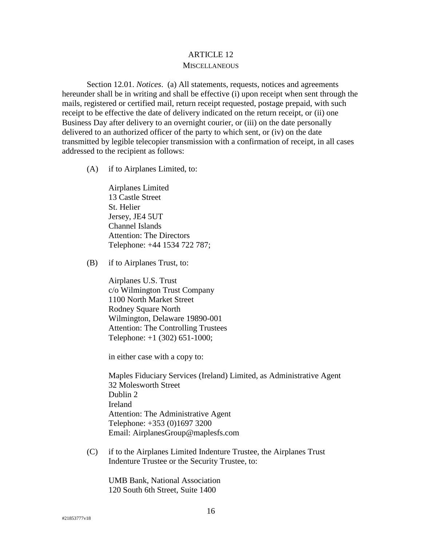# ARTICLE 12

### **MISCELLANEOUS**

<span id="page-19-1"></span><span id="page-19-0"></span>Section 12.01. *Notices*. (a) All statements, requests, notices and agreements hereunder shall be in writing and shall be effective (i) upon receipt when sent through the mails, registered or certified mail, return receipt requested, postage prepaid, with such receipt to be effective the date of delivery indicated on the return receipt, or (ii) one Business Day after delivery to an overnight courier, or (iii) on the date personally delivered to an authorized officer of the party to which sent, or (iv) on the date transmitted by legible telecopier transmission with a confirmation of receipt, in all cases addressed to the recipient as follows:

(A) if to Airplanes Limited, to:

Airplanes Limited 13 Castle Street St. Helier Jersey, JE4 5UT Channel Islands Attention: The Directors Telephone: +44 1534 722 787;

(B) if to Airplanes Trust, to:

Airplanes U.S. Trust c/o Wilmington Trust Company 1100 North Market Street Rodney Square North Wilmington, Delaware 19890-001 Attention: The Controlling Trustees Telephone: +1 (302) 651-1000;

in either case with a copy to:

Maples Fiduciary Services (Ireland) Limited, as Administrative Agent 32 Molesworth Street Dublin 2 Ireland Attention: The Administrative Agent Telephone: +353 (0)1697 3200 Email: AirplanesGroup@maplesfs.com

(C) if to the Airplanes Limited Indenture Trustee, the Airplanes Trust Indenture Trustee or the Security Trustee, to:

UMB Bank, National Association 120 South 6th Street, Suite 1400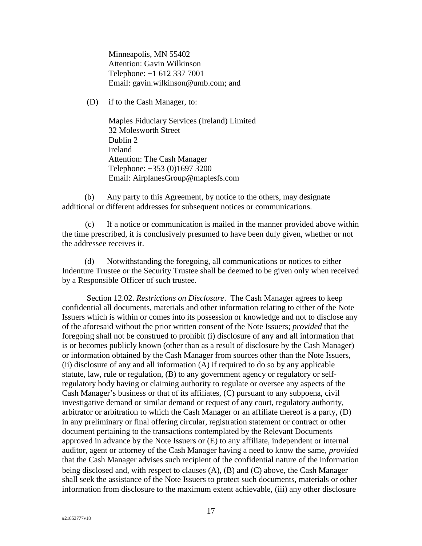Minneapolis, MN 55402 Attention: Gavin Wilkinson Telephone: +1 612 337 7001 Email: gavin.wilkinson@umb.com; and

(D) if to the Cash Manager, to:

Maples Fiduciary Services (Ireland) Limited 32 Molesworth Street Dublin 2 Ireland Attention: The Cash Manager Telephone: +353 (0)1697 3200 Email: AirplanesGroup@maplesfs.com

(b) Any party to this Agreement, by notice to the others, may designate additional or different addresses for subsequent notices or communications.

(c) If a notice or communication is mailed in the manner provided above within the time prescribed, it is conclusively presumed to have been duly given, whether or not the addressee receives it.

(d) Notwithstanding the foregoing, all communications or notices to either Indenture Trustee or the Security Trustee shall be deemed to be given only when received by a Responsible Officer of such trustee.

<span id="page-20-3"></span><span id="page-20-2"></span><span id="page-20-1"></span><span id="page-20-0"></span>Section 12.02. *Restrictions on Disclosure*. The Cash Manager agrees to keep confidential all documents, materials and other information relating to either of the Note Issuers which is within or comes into its possession or knowledge and not to disclose any of the aforesaid without the prior written consent of the Note Issuers; *provided* that the foregoing shall not be construed to prohibit (i) disclosure of any and all information that is or becomes publicly known (other than as a result of disclosure by the Cash Manager) or information obtained by the Cash Manager from sources other than the Note Issuers, (ii) disclosure of any and all information (A) if required to do so by any applicable statute, law, rule or regulation, (B) to any government agency or regulatory or selfregulatory body having or claiming authority to regulate or oversee any aspects of the Cash Manager's business or that of its affiliates, (C) pursuant to any subpoena, civil investigative demand or similar demand or request of any court, regulatory authority, arbitrator or arbitration to which the Cash Manager or an affiliate thereof is a party, (D) in any preliminary or final offering circular, registration statement or contract or other document pertaining to the transactions contemplated by the Relevant Documents approved in advance by the Note Issuers or (E) to any affiliate, independent or internal auditor, agent or attorney of the Cash Manager having a need to know the same, *provided* that the Cash Manager advises such recipient of the confidential nature of the information being disclosed and, with respect to clauses [\(A\),](#page-20-1) [\(B\)](#page-20-2) and [\(C\)](#page-20-3) above, the Cash Manager shall seek the assistance of the Note Issuers to protect such documents, materials or other information from disclosure to the maximum extent achievable, (iii) any other disclosure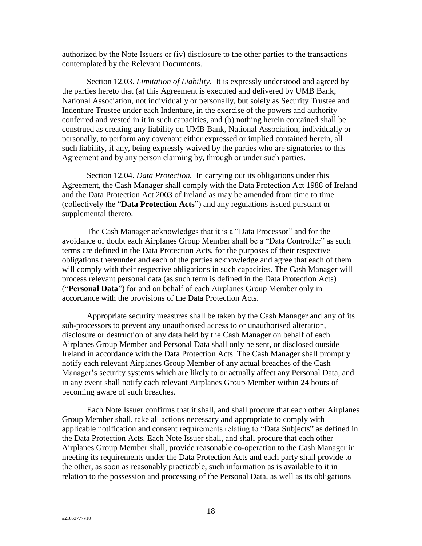authorized by the Note Issuers or (iv) disclosure to the other parties to the transactions contemplated by the Relevant Documents.

<span id="page-21-0"></span>Section 12.03. *Limitation of Liability*. It is expressly understood and agreed by the parties hereto that (a) this Agreement is executed and delivered by UMB Bank, National Association, not individually or personally, but solely as Security Trustee and Indenture Trustee under each Indenture, in the exercise of the powers and authority conferred and vested in it in such capacities, and (b) nothing herein contained shall be construed as creating any liability on UMB Bank, National Association, individually or personally, to perform any covenant either expressed or implied contained herein, all such liability, if any, being expressly waived by the parties who are signatories to this Agreement and by any person claiming by, through or under such parties.

<span id="page-21-1"></span>Section 12.04. *Data Protection.* In carrying out its obligations under this Agreement, the Cash Manager shall comply with the Data Protection Act 1988 of Ireland and the Data Protection Act 2003 of Ireland as may be amended from time to time (collectively the "**Data Protection Acts**") and any regulations issued pursuant or supplemental thereto.

The Cash Manager acknowledges that it is a "Data Processor" and for the avoidance of doubt each Airplanes Group Member shall be a "Data Controller" as such terms are defined in the Data Protection Acts, for the purposes of their respective obligations thereunder and each of the parties acknowledge and agree that each of them will comply with their respective obligations in such capacities. The Cash Manager will process relevant personal data (as such term is defined in the Data Protection Acts) ("**Personal Data**") for and on behalf of each Airplanes Group Member only in accordance with the provisions of the Data Protection Acts.

Appropriate security measures shall be taken by the Cash Manager and any of its sub-processors to prevent any unauthorised access to or unauthorised alteration, disclosure or destruction of any data held by the Cash Manager on behalf of each Airplanes Group Member and Personal Data shall only be sent, or disclosed outside Ireland in accordance with the Data Protection Acts. The Cash Manager shall promptly notify each relevant Airplanes Group Member of any actual breaches of the Cash Manager's security systems which are likely to or actually affect any Personal Data, and in any event shall notify each relevant Airplanes Group Member within 24 hours of becoming aware of such breaches.

Each Note Issuer confirms that it shall, and shall procure that each other Airplanes Group Member shall, take all actions necessary and appropriate to comply with applicable notification and consent requirements relating to "Data Subjects" as defined in the Data Protection Acts. Each Note Issuer shall, and shall procure that each other Airplanes Group Member shall, provide reasonable co-operation to the Cash Manager in meeting its requirements under the Data Protection Acts and each party shall provide to the other, as soon as reasonably practicable, such information as is available to it in relation to the possession and processing of the Personal Data, as well as its obligations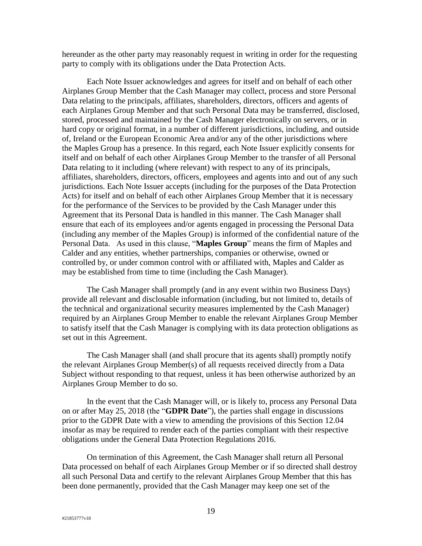hereunder as the other party may reasonably request in writing in order for the requesting party to comply with its obligations under the Data Protection Acts.

Each Note Issuer acknowledges and agrees for itself and on behalf of each other Airplanes Group Member that the Cash Manager may collect, process and store Personal Data relating to the principals, affiliates, shareholders, directors, officers and agents of each Airplanes Group Member and that such Personal Data may be transferred, disclosed, stored, processed and maintained by the Cash Manager electronically on servers, or in hard copy or original format, in a number of different jurisdictions, including, and outside of, Ireland or the European Economic Area and/or any of the other jurisdictions where the Maples Group has a presence. In this regard, each Note Issuer explicitly consents for itself and on behalf of each other Airplanes Group Member to the transfer of all Personal Data relating to it including (where relevant) with respect to any of its principals, affiliates, shareholders, directors, officers, employees and agents into and out of any such jurisdictions. Each Note Issuer accepts (including for the purposes of the Data Protection Acts) for itself and on behalf of each other Airplanes Group Member that it is necessary for the performance of the Services to be provided by the Cash Manager under this Agreement that its Personal Data is handled in this manner. The Cash Manager shall ensure that each of its employees and/or agents engaged in processing the Personal Data (including any member of the Maples Group) is informed of the confidential nature of the Personal Data. As used in this clause, "**Maples Group**" means the firm of Maples and Calder and any entities, whether partnerships, companies or otherwise, owned or controlled by, or under common control with or affiliated with, Maples and Calder as may be established from time to time (including the Cash Manager).

The Cash Manager shall promptly (and in any event within two Business Days) provide all relevant and disclosable information (including, but not limited to, details of the technical and organizational security measures implemented by the Cash Manager) required by an Airplanes Group Member to enable the relevant Airplanes Group Member to satisfy itself that the Cash Manager is complying with its data protection obligations as set out in this Agreement.

The Cash Manager shall (and shall procure that its agents shall) promptly notify the relevant Airplanes Group Member(s) of all requests received directly from a Data Subject without responding to that request, unless it has been otherwise authorized by an Airplanes Group Member to do so.

In the event that the Cash Manager will, or is likely to, process any Personal Data on or after May 25, 2018 (the "**GDPR Date**"), the parties shall engage in discussions prior to the GDPR Date with a view to amending the provisions of this Section 12.04 insofar as may be required to render each of the parties compliant with their respective obligations under the General Data Protection Regulations 2016.

On termination of this Agreement, the Cash Manager shall return all Personal Data processed on behalf of each Airplanes Group Member or if so directed shall destroy all such Personal Data and certify to the relevant Airplanes Group Member that this has been done permanently, provided that the Cash Manager may keep one set of the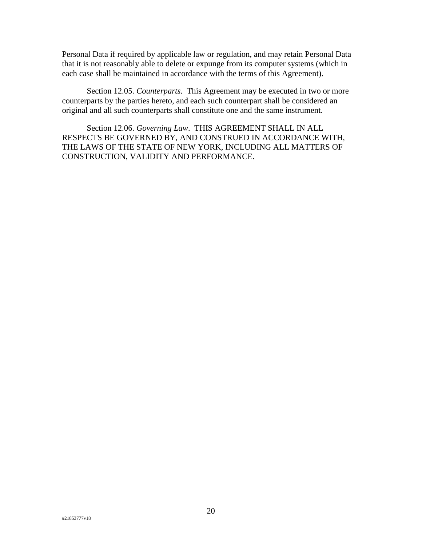Personal Data if required by applicable law or regulation, and may retain Personal Data that it is not reasonably able to delete or expunge from its computer systems (which in each case shall be maintained in accordance with the terms of this Agreement).

<span id="page-23-0"></span>Section 12.05. *Counterparts*. This Agreement may be executed in two or more counterparts by the parties hereto, and each such counterpart shall be considered an original and all such counterparts shall constitute one and the same instrument.

<span id="page-23-1"></span>Section 12.06. *Governing Law*. THIS AGREEMENT SHALL IN ALL RESPECTS BE GOVERNED BY, AND CONSTRUED IN ACCORDANCE WITH, THE LAWS OF THE STATE OF NEW YORK, INCLUDING ALL MATTERS OF CONSTRUCTION, VALIDITY AND PERFORMANCE.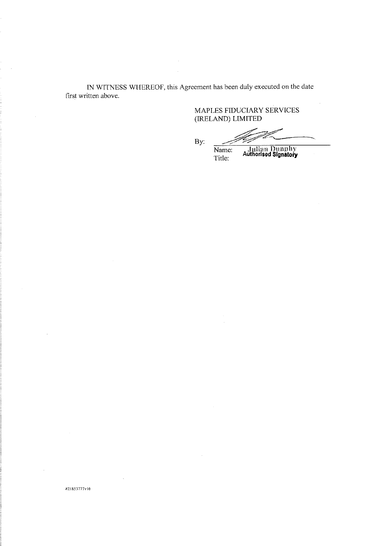IN WITNESS WHEREOF, this Agreement has been duly executed on the date first written above.

#21853777v16

MAPLES FIDUCIARY SERVICES (IRELAND) LIMITED

 $By:$ 

Julian Dunphy<br>Authorised Signatory Name:

Title: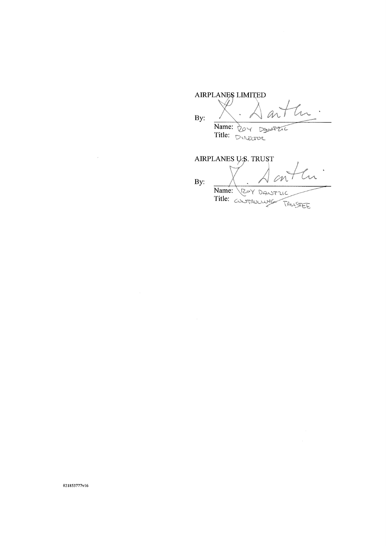AIRPLANES LIMITED Ú By: Name: Title:

AIRPLANES U.S. TRUST M By: Name: ROY DANTUC Title: TRUSTEE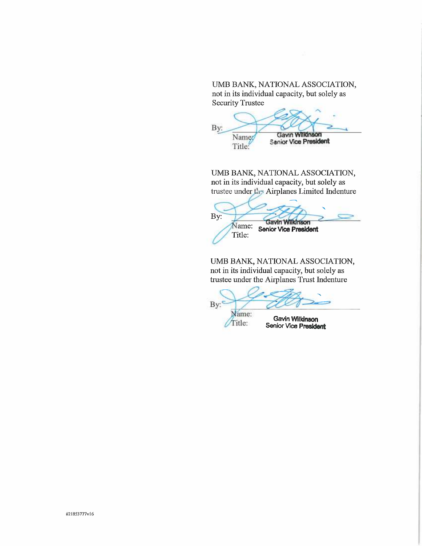## UMB BANK, NATIONAL ASSOCIATION, not in its individual capacity, but solely as Security Trustee

By: Name Gavin Will Title: Senior Vice President

UMB BANK, NATIONAL ASSOCIATION, not in its individual capacity, but solely as trustee under Airplanes Limited Indenture

By: Savin Wilkinson<br>Name: Senior Vice President Title:

UMB BANK, NATIONAL ASSOCIATION, not in its individual capacity, but solely as trustee under the Airplanes Trust Indenture

By: ame:

when Gavin Willdnson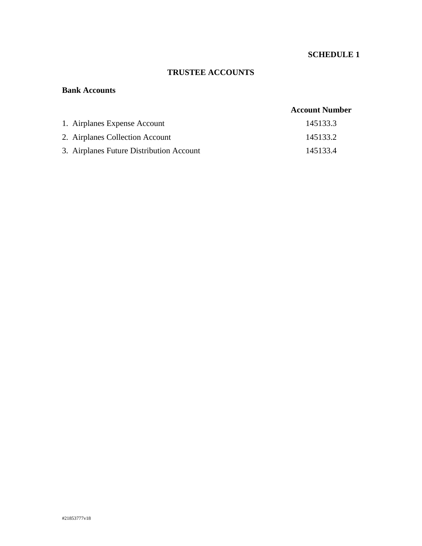# **SCHEDULE 1**

# **TRUSTEE ACCOUNTS**

### **Bank Accounts**

# **Account Number**

| 1. Airplanes Expense Account             | 145133.3 |
|------------------------------------------|----------|
| 2. Airplanes Collection Account          | 145133.2 |
| 3. Airplanes Future Distribution Account | 145133.4 |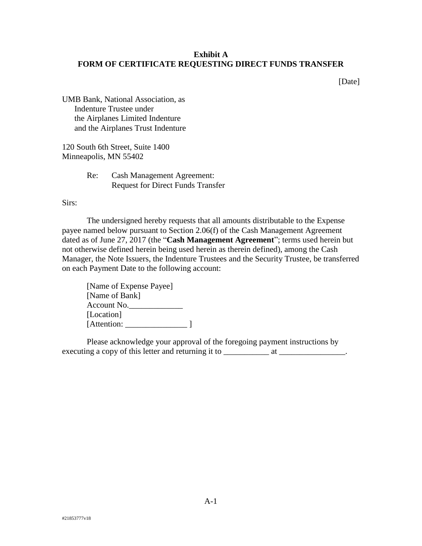# **Exhibit A FORM OF CERTIFICATE REQUESTING DIRECT FUNDS TRANSFER**

[Date]

UMB Bank, National Association, as Indenture Trustee under the Airplanes Limited Indenture and the Airplanes Trust Indenture

120 South 6th Street, Suite 1400 Minneapolis, MN 55402

> Re: Cash Management Agreement: Request for Direct Funds Transfer

Sirs:

The undersigned hereby requests that all amounts distributable to the Expense payee named below pursuant to [Section 2.06\(f\)](#page-7-5) of the Cash Management Agreement dated as of June 27, 2017 (the "**Cash Management Agreement**"; terms used herein but not otherwise defined herein being used herein as therein defined), among the Cash Manager, the Note Issuers, the Indenture Trustees and the Security Trustee, be transferred on each Payment Date to the following account:

| [Name of Expense Payee] |  |
|-------------------------|--|
| [Name of Bank]          |  |
| Account No.             |  |
| [Location]              |  |
| [Attention:             |  |

Please acknowledge your approval of the foregoing payment instructions by executing a copy of this letter and returning it to \_\_\_\_\_\_\_\_\_\_\_\_\_\_\_\_\_\_\_\_\_\_\_\_\_\_\_\_.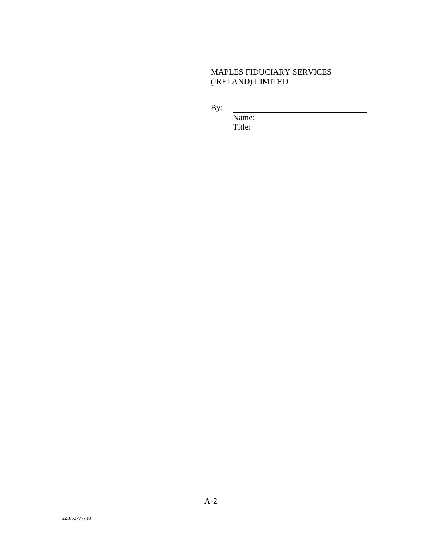# MAPLES FIDUCIARY SERVICES (IRELAND) LIMITED

By:

Name: Title: